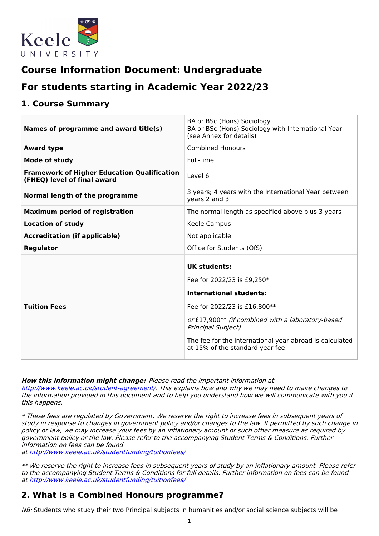

# **Course Information Document: Undergraduate**

# **For students starting in Academic Year 2022/23**

### **1. Course Summary**

| Names of programme and award title(s)                                             | BA or BSc (Hons) Sociology<br>BA or BSc (Hons) Sociology with International Year<br>(see Annex for details) |
|-----------------------------------------------------------------------------------|-------------------------------------------------------------------------------------------------------------|
| <b>Award type</b>                                                                 | <b>Combined Honours</b>                                                                                     |
| Mode of study                                                                     | Full-time                                                                                                   |
| <b>Framework of Higher Education Qualification</b><br>(FHEQ) level of final award | Level 6                                                                                                     |
| Normal length of the programme                                                    | 3 years; 4 years with the International Year between<br>years 2 and 3                                       |
| <b>Maximum period of registration</b>                                             | The normal length as specified above plus 3 years                                                           |
| <b>Location of study</b>                                                          | Keele Campus                                                                                                |
| <b>Accreditation (if applicable)</b>                                              | Not applicable                                                                                              |
| <b>Regulator</b>                                                                  | Office for Students (OfS)                                                                                   |
|                                                                                   | UK students:                                                                                                |
|                                                                                   | Fee for 2022/23 is £9,250*                                                                                  |
|                                                                                   | <b>International students:</b>                                                                              |
| <b>Tuition Fees</b>                                                               | Fee for 2022/23 is £16,800**                                                                                |
|                                                                                   | or £17,900** (if combined with a laboratory-based<br><b>Principal Subject)</b>                              |
|                                                                                   | The fee for the international year abroad is calculated<br>at 15% of the standard year fee                  |

**How this information might change:** Please read the important information at

<http://www.keele.ac.uk/student-agreement/>. This explains how and why we may need to make changes to the information provided in this document and to help you understand how we will communicate with you if this happens.

\* These fees are regulated by Government. We reserve the right to increase fees in subsequent years of study in response to changes in government policy and/or changes to the law. If permitted by such change in policy or law, we may increase your fees by an inflationary amount or such other measure as required by government policy or the law. Please refer to the accompanying Student Terms & Conditions. Further information on fees can be found

at <http://www.keele.ac.uk/studentfunding/tuitionfees/>

\*\* We reserve the right to increase fees in subsequent years of study by an inflationary amount. Please refer to the accompanying Student Terms & Conditions for full details. Further information on fees can be found at <http://www.keele.ac.uk/studentfunding/tuitionfees/>

### **2. What is a Combined Honours programme?**

NB: Students who study their two Principal subjects in humanities and/or social science subjects will be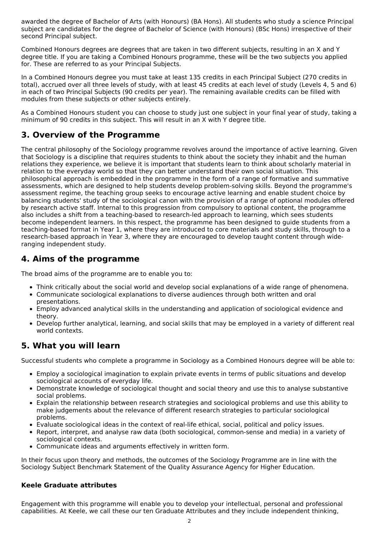awarded the degree of Bachelor of Arts (with Honours) (BA Hons). All students who study a science Principal subject are candidates for the degree of Bachelor of Science (with Honours) (BSc Hons) irrespective of their second Principal subject.

Combined Honours degrees are degrees that are taken in two different subjects, resulting in an X and Y degree title. If you are taking a Combined Honours programme, these will be the two subjects you applied for. These are referred to as your Principal Subjects.

In a Combined Honours degree you must take at least 135 credits in each Principal Subject (270 credits in total), accrued over all three levels of study, with at least 45 credits at each level of study (Levels 4, 5 and 6) in each of two Principal Subjects (90 credits per year). The remaining available credits can be filled with modules from these subjects or other subjects entirely.

As a Combined Honours student you can choose to study just one subject in your final year of study, taking a minimum of 90 credits in this subject. This will result in an X with Y degree title.

## **3. Overview of the Programme**

The central philosophy of the Sociology programme revolves around the importance of active learning. Given that Sociology is a discipline that requires students to think about the society they inhabit and the human relations they experience, we believe it is important that students learn to think about scholarly material in relation to the everyday world so that they can better understand their own social situation. This philosophical approach is embedded in the programme in the form of a range of formative and summative assessments, which are designed to help students develop problem-solving skills. Beyond the programme's assessment regime, the teaching group seeks to encourage active learning and enable student choice by balancing students' study of the sociological canon with the provision of a range of optional modules offered by research active staff. Internal to this progression from compulsory to optional content, the programme also includes a shift from a teaching-based to research-led approach to learning, which sees students become independent learners. In this respect, the programme has been designed to guide students from a teaching-based format in Year 1, where they are introduced to core materials and study skills, through to a research-based approach in Year 3, where they are encouraged to develop taught content through wideranging independent study.

## **4. Aims of the programme**

The broad aims of the programme are to enable you to:

- Think critically about the social world and develop social explanations of a wide range of phenomena.
- Communicate sociological explanations to diverse audiences through both written and oral presentations.
- Employ advanced analytical skills in the understanding and application of sociological evidence and theory.
- Develop further analytical, learning, and social skills that may be employed in a variety of different real world contexts.

### **5. What you will learn**

Successful students who complete a programme in Sociology as a Combined Honours degree will be able to:

- Employ a sociological imagination to explain private events in terms of public situations and develop sociological accounts of everyday life.
- Demonstrate knowledge of sociological thought and social theory and use this to analyse substantive social problems.
- Explain the relationship between research strategies and sociological problems and use this ability to make judgements about the relevance of different research strategies to particular sociological problems.
- Evaluate sociological ideas in the context of real-life ethical, social, political and policy issues.
- Report, interpret, and analyse raw data (both sociological, common-sense and media) in a variety of sociological contexts.
- Communicate ideas and arguments effectively in written form.

In their focus upon theory and methods, the outcomes of the Sociology Programme are in line with the Sociology Subject Benchmark Statement of the Quality Assurance Agency for Higher Education.

### **Keele Graduate attributes**

Engagement with this programme will enable you to develop your intellectual, personal and professional capabilities. At Keele, we call these our ten Graduate Attributes and they include independent thinking,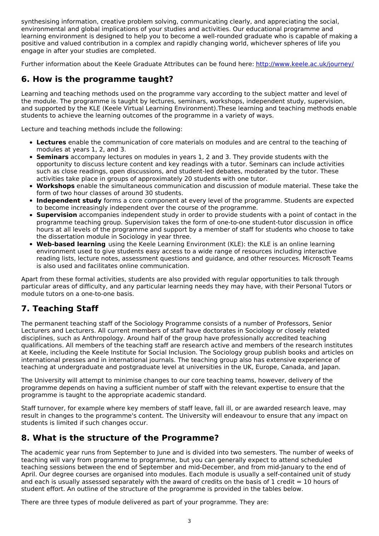synthesising information, creative problem solving, communicating clearly, and appreciating the social, environmental and global implications of your studies and activities. Our educational programme and learning environment is designed to help you to become a well-rounded graduate who is capable of making a positive and valued contribution in a complex and rapidly changing world, whichever spheres of life you engage in after your studies are completed.

Further information about the Keele Graduate Attributes can be found here: <http://www.keele.ac.uk/journey/>

### **6. How is the programme taught?**

Learning and teaching methods used on the programme vary according to the subject matter and level of the module. The programme is taught by lectures, seminars, workshops, independent study, supervision, and supported by the KLE (Keele Virtual Learning Environment).These learning and teaching methods enable students to achieve the learning outcomes of the programme in a variety of ways.

Lecture and teaching methods include the following:

- **Lectures** enable the communication of core materials on modules and are central to the teaching of modules at years 1, 2, and 3.
- **Seminars** accompany lectures on modules in years 1, 2 and 3. They provide students with the opportunity to discuss lecture content and key readings with a tutor. Seminars can include activities such as close readings, open discussions, and student-led debates, moderated by the tutor. These activities take place in groups of approximately 20 students with one tutor.
- **Workshops** enable the simultaneous communication and discussion of module material. These take the form of two hour classes of around 30 students.
- **Independent study** forms a core component at every level of the programme. Students are expected to become increasingly independent over the course of the programme.
- **Supervision** accompanies independent study in order to provide students with a point of contact in the programme teaching group. Supervision takes the form of one-to-one student-tutor discussion in office hours at all levels of the programme and support by a member of staff for students who choose to take the dissertation module in Sociology in year three.
- **Web-based learning** using the Keele Learning Environment (KLE): the KLE is an online learning environment used to give students easy access to a wide range of resources including interactive reading lists, lecture notes, assessment questions and guidance, and other resources. Microsoft Teams is also used and facilitates online communication.

Apart from these formal activities, students are also provided with regular opportunities to talk through particular areas of difficulty, and any particular learning needs they may have, with their Personal Tutors or module tutors on a one-to-one basis.

## **7. Teaching Staff**

The permanent teaching staff of the Sociology Programme consists of a number of Professors, Senior Lecturers and Lecturers. All current members of staff have doctorates in Sociology or closely related disciplines, such as Anthropology. Around half of the group have professionally accredited teaching qualifications. All members of the teaching staff are research active and members of the research institutes at Keele, including the Keele Institute for Social Inclusion. The Sociology group publish books and articles on international presses and in international journals. The teaching group also has extensive experience of teaching at undergraduate and postgraduate level at universities in the UK, Europe, Canada, and Japan.

The University will attempt to minimise changes to our core teaching teams, however, delivery of the programme depends on having a sufficient number of staff with the relevant expertise to ensure that the programme is taught to the appropriate academic standard.

Staff turnover, for example where key members of staff leave, fall ill, or are awarded research leave, may result in changes to the programme's content. The University will endeavour to ensure that any impact on students is limited if such changes occur.

### **8. What is the structure of the Programme?**

The academic year runs from September to June and is divided into two semesters. The number of weeks of teaching will vary from programme to programme, but you can generally expect to attend scheduled teaching sessions between the end of September and mid-December, and from mid-January to the end of April. Our degree courses are organised into modules. Each module is usually a self-contained unit of study and each is usually assessed separately with the award of credits on the basis of 1 credit  $= 10$  hours of student effort. An outline of the structure of the programme is provided in the tables below.

There are three types of module delivered as part of your programme. They are: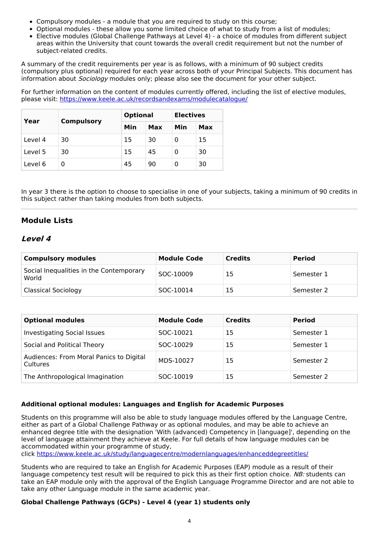- Compulsory modules a module that you are required to study on this course;
- Optional modules these allow you some limited choice of what to study from a list of modules;
- Elective modules (Global Challenge Pathways at Level 4) a choice of modules from different subject areas within the University that count towards the overall credit requirement but not the number of subject-related credits.

A summary of the credit requirements per year is as follows, with a minimum of 90 subject credits (compulsory plus optional) required for each year across both of your Principal Subjects. This document has information about *Sociology* modules only; please also see the document for your other subject.

For further information on the content of modules currently offered, including the list of elective modules, please visit: <https://www.keele.ac.uk/recordsandexams/modulecatalogue/>

| Year    |                   | <b>Optional</b> |     | <b>Electives</b> |     |
|---------|-------------------|-----------------|-----|------------------|-----|
|         | <b>Compulsory</b> | Min             | Max | Min              | Max |
| Level 4 | 30                | 15              | 30  |                  | 15  |
| Level 5 | 30                | 15              | 45  |                  | 30  |
| Level 6 |                   | 45              | 90  |                  | 30  |

In year 3 there is the option to choose to specialise in one of your subjects, taking a minimum of 90 credits in this subject rather than taking modules from both subjects.

### **Module Lists**

### **Level 4**

| Compulsory modules                               | <b>Module Code</b> | <b>Credits</b> | <b>Period</b> |
|--------------------------------------------------|--------------------|----------------|---------------|
| Social Inequalities in the Contemporary<br>World | SOC-10009          | 15             | Semester 1    |
| <b>Classical Sociology</b>                       | SOC-10014          | 15             | Semester 2    |

| <b>Optional modules</b>                             | <b>Module Code</b> | <b>Credits</b> | <b>Period</b> |
|-----------------------------------------------------|--------------------|----------------|---------------|
| <b>Investigating Social Issues</b>                  | SOC-10021          | 15             | Semester 1    |
| Social and Political Theory                         | SOC-10029          | 15             | Semester 1    |
| Audiences: From Moral Panics to Digital<br>Cultures | MDS-10027          | 15             | Semester 2    |
| The Anthropological Imagination                     | SOC-10019          | 15             | Semester 2    |

#### **Additional optional modules: Languages and English for Academic Purposes**

Students on this programme will also be able to study language modules offered by the Language Centre, either as part of a Global Challenge Pathway or as optional modules, and may be able to achieve an enhanced degree title with the designation 'With (advanced) Competency in [language]', depending on the level of language attainment they achieve at Keele. For full details of how language modules can be accommodated within your programme of study,

click <https://www.keele.ac.uk/study/languagecentre/modernlanguages/enhanceddegreetitles/>

Students who are required to take an English for Academic Purposes (EAP) module as a result of their language competency test result will be required to pick this as their first option choice. NB: students can take an EAP module only with the approval of the English Language Programme Director and are not able to take any other Language module in the same academic year.

#### **Global Challenge Pathways (GCPs) - Level 4 (year 1) students only**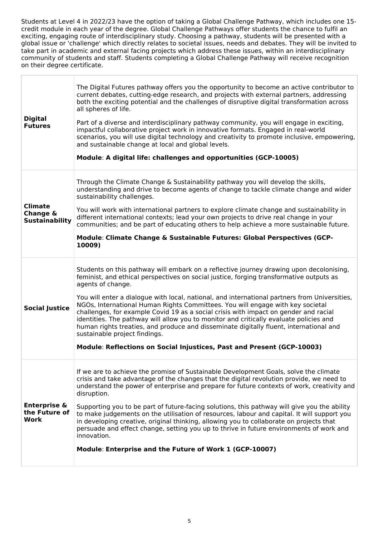Students at Level 4 in 2022/23 have the option of taking a Global Challenge Pathway, which includes one 15 credit module in each year of the degree. Global Challenge Pathways offer students the chance to fulfil an exciting, engaging route of interdisciplinary study. Choosing a pathway, students will be presented with a global issue or 'challenge' which directly relates to societal issues, needs and debates. They will be invited to take part in academic and external facing projects which address these issues, within an interdisciplinary community of students and staff. Students completing a Global Challenge Pathway will receive recognition on their degree certificate.

| <b>Digital</b><br><b>Futures</b>                    | The Digital Futures pathway offers you the opportunity to become an active contributor to<br>current debates, cutting-edge research, and projects with external partners, addressing<br>both the exciting potential and the challenges of disruptive digital transformation across<br>all spheres of life.<br>Part of a diverse and interdisciplinary pathway community, you will engage in exciting,<br>impactful collaborative project work in innovative formats. Engaged in real-world<br>scenarios, you will use digital technology and creativity to promote inclusive, empowering,<br>and sustainable change at local and global levels.<br>Module: A digital life: challenges and opportunities (GCP-10005)                                                               |
|-----------------------------------------------------|-----------------------------------------------------------------------------------------------------------------------------------------------------------------------------------------------------------------------------------------------------------------------------------------------------------------------------------------------------------------------------------------------------------------------------------------------------------------------------------------------------------------------------------------------------------------------------------------------------------------------------------------------------------------------------------------------------------------------------------------------------------------------------------|
| <b>Climate</b><br>Change &<br><b>Sustainability</b> | Through the Climate Change & Sustainability pathway you will develop the skills,<br>understanding and drive to become agents of change to tackle climate change and wider<br>sustainability challenges.<br>You will work with international partners to explore climate change and sustainability in<br>different international contexts; lead your own projects to drive real change in your<br>communities; and be part of educating others to help achieve a more sustainable future.<br>Module: Climate Change & Sustainable Futures: Global Perspectives (GCP-<br>10009)                                                                                                                                                                                                     |
| <b>Social Justice</b>                               | Students on this pathway will embark on a reflective journey drawing upon decolonising,<br>feminist, and ethical perspectives on social justice, forging transformative outputs as<br>agents of change.<br>You will enter a dialogue with local, national, and international partners from Universities,<br>NGOs, International Human Rights Committees. You will engage with key societal<br>challenges, for example Covid 19 as a social crisis with impact on gender and racial<br>identities. The pathway will allow you to monitor and critically evaluate policies and<br>human rights treaties, and produce and disseminate digitally fluent, international and<br>sustainable project findings.<br>Module: Reflections on Social Injustices, Past and Present (GCP-10003) |
| <b>Enterprise &amp;</b><br>the Future of<br>Work    | If we are to achieve the promise of Sustainable Development Goals, solve the climate<br>crisis and take advantage of the changes that the digital revolution provide, we need to<br>understand the power of enterprise and prepare for future contexts of work, creativity and<br>disruption.<br>Supporting you to be part of future-facing solutions, this pathway will give you the ability<br>to make judgements on the utilisation of resources, labour and capital. It will support you<br>in developing creative, original thinking, allowing you to collaborate on projects that<br>persuade and effect change, setting you up to thrive in future environments of work and<br>innovation.<br>Module: Enterprise and the Future of Work 1 (GCP-10007)                      |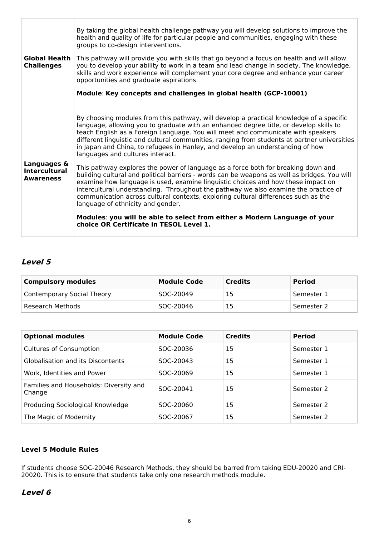| <b>Global Health</b><br><b>Challenges</b>               | By taking the global health challenge pathway you will develop solutions to improve the<br>health and quality of life for particular people and communities, engaging with these<br>groups to co-design interventions.<br>This pathway will provide you with skills that go beyond a focus on health and will allow<br>you to develop your ability to work in a team and lead change in society. The knowledge,<br>skills and work experience will complement your core degree and enhance your career<br>opportunities and graduate aspirations.<br>Module: Key concepts and challenges in global health (GCP-10001) |
|---------------------------------------------------------|-----------------------------------------------------------------------------------------------------------------------------------------------------------------------------------------------------------------------------------------------------------------------------------------------------------------------------------------------------------------------------------------------------------------------------------------------------------------------------------------------------------------------------------------------------------------------------------------------------------------------|
|                                                         | By choosing modules from this pathway, will develop a practical knowledge of a specific<br>language, allowing you to graduate with an enhanced degree title, or develop skills to<br>teach English as a Foreign Language. You will meet and communicate with speakers<br>different linguistic and cultural communities, ranging from students at partner universities<br>in Japan and China, to refugees in Hanley, and develop an understanding of how<br>languages and cultures interact.                                                                                                                           |
| Languages &<br><b>Intercultural</b><br><b>Awareness</b> | This pathway explores the power of language as a force both for breaking down and<br>building cultural and political barriers - words can be weapons as well as bridges. You will<br>examine how language is used, examine linguistic choices and how these impact on<br>intercultural understanding. Throughout the pathway we also examine the practice of<br>communication across cultural contexts, exploring cultural differences such as the<br>language of ethnicity and gender.                                                                                                                               |
|                                                         | Modules: you will be able to select from either a Modern Language of your<br>choice OR Certificate in TESOL Level 1.                                                                                                                                                                                                                                                                                                                                                                                                                                                                                                  |

### **Level 5**

| <b>Compulsory modules</b>  | <b>Module Code</b> | <b>Credits</b> | <b>Period</b> |
|----------------------------|--------------------|----------------|---------------|
| Contemporary Social Theory | SOC-20049          | 15             | Semester 1    |
| Research Methods           | SOC-20046          | 15             | Semester 2    |

| <b>Optional modules</b>                          | <b>Module Code</b> | <b>Credits</b> | <b>Period</b> |
|--------------------------------------------------|--------------------|----------------|---------------|
| <b>Cultures of Consumption</b>                   | SOC-20036          | 15             | Semester 1    |
| <b>Globalisation and its Discontents</b>         | SOC-20043          | 15             | Semester 1    |
| Work, Identities and Power                       | SOC-20069          | 15             | Semester 1    |
| Families and Households: Diversity and<br>Change | SOC-20041          | 15             | Semester 2    |
| Producing Sociological Knowledge                 | SOC-20060          | 15             | Semester 2    |
| The Magic of Modernity                           | SOC-20067          | 15             | Semester 2    |

### **Level 5 Module Rules**

If students choose SOC-20046 Research Methods, they should be barred from taking EDU-20020 and CRI-20020. This is to ensure that students take only one research methods module.

#### **Level 6**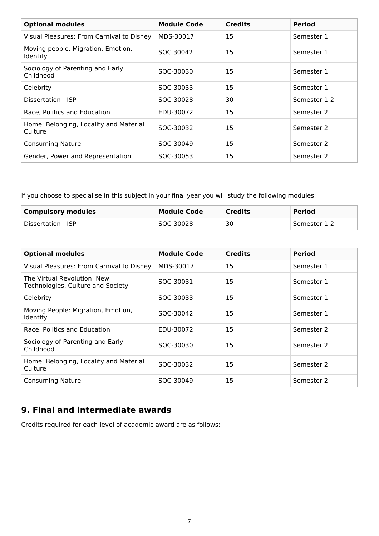| <b>Optional modules</b>                               | <b>Module Code</b> | <b>Credits</b> | <b>Period</b> |
|-------------------------------------------------------|--------------------|----------------|---------------|
| Visual Pleasures: From Carnival to Disney             | MDS-30017          | 15             | Semester 1    |
| Moving people. Migration, Emotion,<br><b>Identity</b> | SOC 30042          | 15             | Semester 1    |
| Sociology of Parenting and Early<br>Childhood         | SOC-30030          | 15             | Semester 1    |
| Celebrity                                             | SOC-30033          | 15             | Semester 1    |
| Dissertation - ISP                                    | SOC-30028          | 30             | Semester 1-2  |
| Race, Politics and Education                          | EDU-30072          | 15             | Semester 2    |
| Home: Belonging, Locality and Material<br>Culture     | SOC-30032          | 15             | Semester 2    |
| <b>Consuming Nature</b>                               | SOC-30049          | 15             | Semester 2    |
| Gender, Power and Representation                      | SOC-30053          | 15             | Semester 2    |

If you choose to specialise in this subject in your final year you will study the following modules:

| <b>Compulsory modules</b> | Module Code | <b>Credits</b> | <b>Period</b> |
|---------------------------|-------------|----------------|---------------|
| Dissertation - ISP        | SOC-30028   | 30             | Semester 1-2  |

| <b>Optional modules</b>                                          | <b>Module Code</b> | <b>Credits</b> | <b>Period</b> |
|------------------------------------------------------------------|--------------------|----------------|---------------|
| Visual Pleasures: From Carnival to Disney                        | MDS-30017          | 15             | Semester 1    |
| The Virtual Revolution: New<br>Technologies, Culture and Society | SOC-30031          | 15             | Semester 1    |
| Celebrity                                                        | SOC-30033          | 15             | Semester 1    |
| Moving People: Migration, Emotion,<br>Identity                   | SOC-30042          | 15             | Semester 1    |
| Race, Politics and Education                                     | EDU-30072          | 15             | Semester 2    |
| Sociology of Parenting and Early<br>Childhood                    | SOC-30030          | 15             | Semester 2    |
| Home: Belonging, Locality and Material<br>Culture                | SOC-30032          | 15             | Semester 2    |
| <b>Consuming Nature</b>                                          | SOC-30049          | 15             | Semester 2    |

## **9. Final and intermediate awards**

Credits required for each level of academic award are as follows: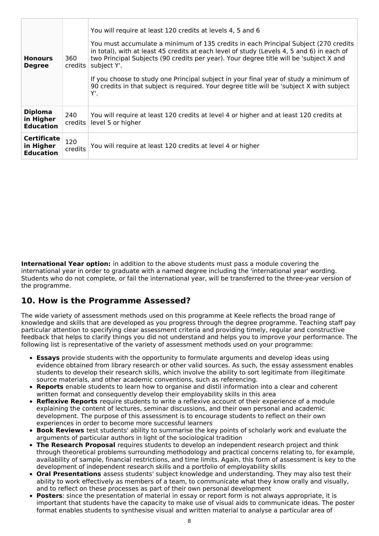| <b>Honours</b><br><b>Degree</b>                     | 360<br>credits | You will require at least 120 credits at levels 4, 5 and 6<br>You must accumulate a minimum of 135 credits in each Principal Subject (270 credits<br>in total), with at least 45 credits at each level of study (Levels 4, 5 and 6) in each of<br>two Principal Subjects (90 credits per year). Your degree title will be 'subject X and<br>subject Y'.<br>If you choose to study one Principal subject in your final year of study a minimum of<br>90 credits in that subject is required. Your degree title will be 'subject X with subject<br>Υ'. |
|-----------------------------------------------------|----------------|------------------------------------------------------------------------------------------------------------------------------------------------------------------------------------------------------------------------------------------------------------------------------------------------------------------------------------------------------------------------------------------------------------------------------------------------------------------------------------------------------------------------------------------------------|
| <b>Diploma</b><br>in Higher<br><b>Education</b>     | 240<br>credits | You will require at least 120 credits at level 4 or higher and at least 120 credits at<br>level 5 or higher                                                                                                                                                                                                                                                                                                                                                                                                                                          |
| <b>Certificate</b><br>in Higher<br><b>Education</b> | 120<br>credits | You will require at least 120 credits at level 4 or higher                                                                                                                                                                                                                                                                                                                                                                                                                                                                                           |

**International Year option:** in addition to the above students must pass a module covering the international year in order to graduate with a named degree including the 'international year' wording. Students who do not complete, or fail the international year, will be transferred to the three-year version of the programme.

### **10. How is the Programme Assessed?**

The wide variety of assessment methods used on this programme at Keele reflects the broad range of knowledge and skills that are developed as you progress through the degree programme. Teaching staff pay particular attention to specifying clear assessment criteria and providing timely, regular and constructive feedback that helps to clarify things you did not understand and helps you to improve your performance. The following list is representative of the variety of assessment methods used on your programme:

- **Essays** provide students with the opportunity to formulate arguments and develop ideas using evidence obtained from library research or other valid sources. As such, the essay assessment enables students to develop their research skills, which involve the ability to sort legitimate from illegitimate source materials, and other academic conventions, such as referencing.
- **Reports** enable students to learn how to organise and distil information into a clear and coherent written format and consequently develop their employability skills in this area
- **Reflexive Reports** require students to write a reflexive account of their experience of a module explaining the content of lectures, seminar discussions, and their own personal and academic development. The purpose of this assessment is to encourage students to reflect on their own experiences in order to become more successful learners
- **Book Reviews** test students' ability to summarise the key points of scholarly work and evaluate the arguments of particular authors in light of the sociological tradition
- **The Research Proposal** requires students to develop an independent research project and think through theoretical problems surrounding methodology and practical concerns relating to, for example, availability of sample, financial restrictions, and time limits. Again, this form of assessment is key to the development of independent research skills and a portfolio of employability skills
- **Oral Presentations** assess students' subject knowledge and understanding. They may also test their ability to work effectively as members of a team, to communicate what they know orally and visually, and to reflect on these processes as part of their own personal development
- **Posters**: since the presentation of material in essay or report form is not always appropriate, it is important that students have the capacity to make use of visual aids to communicate ideas. The poster format enables students to synthesise visual and written material to analyse a particular area of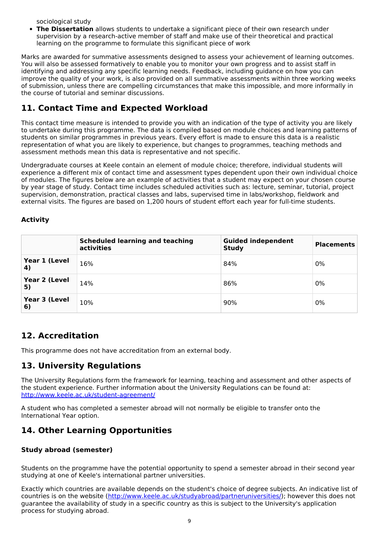sociological study

**The Dissertation** allows students to undertake a significant piece of their own research under supervision by a research-active member of staff and make use of their theoretical and practical learning on the programme to formulate this significant piece of work

Marks are awarded for summative assessments designed to assess your achievement of learning outcomes. You will also be assessed formatively to enable you to monitor your own progress and to assist staff in identifying and addressing any specific learning needs. Feedback, including guidance on how you can improve the quality of your work, is also provided on all summative assessments within three working weeks of submission, unless there are compelling circumstances that make this impossible, and more informally in the course of tutorial and seminar discussions.

## **11. Contact Time and Expected Workload**

This contact time measure is intended to provide you with an indication of the type of activity you are likely to undertake during this programme. The data is compiled based on module choices and learning patterns of students on similar programmes in previous years. Every effort is made to ensure this data is a realistic representation of what you are likely to experience, but changes to programmes, teaching methods and assessment methods mean this data is representative and not specific.

Undergraduate courses at Keele contain an element of module choice; therefore, individual students will experience a different mix of contact time and assessment types dependent upon their own individual choice of modules. The figures below are an example of activities that a student may expect on your chosen course by year stage of study. Contact time includes scheduled activities such as: lecture, seminar, tutorial, project supervision, demonstration, practical classes and labs, supervised time in labs/workshop, fieldwork and external visits. The figures are based on 1,200 hours of student effort each year for full-time students.

### **Activity**

|                     | <b>Scheduled learning and teaching</b><br>activities | <b>Guided independent</b><br><b>Study</b> | <b>Placements</b> |
|---------------------|------------------------------------------------------|-------------------------------------------|-------------------|
| Year 1 (Level<br>4) | 16%                                                  | 84%                                       | 0%                |
| Year 2 (Level<br>5) | 14%                                                  | 86%                                       | 0%                |
| Year 3 (Level<br>6) | 10%                                                  | 90%                                       | 0%                |

### **12. Accreditation**

This programme does not have accreditation from an external body.

### **13. University Regulations**

The University Regulations form the framework for learning, teaching and assessment and other aspects of the student experience. Further information about the University Regulations can be found at: <http://www.keele.ac.uk/student-agreement/>

A student who has completed a semester abroad will not normally be eligible to transfer onto the International Year option.

### **14. Other Learning Opportunities**

### **Study abroad (semester)**

Students on the programme have the potential opportunity to spend a semester abroad in their second year studying at one of Keele's international partner universities.

Exactly which countries are available depends on the student's choice of degree subjects. An indicative list of countries is on the website (<http://www.keele.ac.uk/studyabroad/partneruniversities/>); however this does not guarantee the availability of study in a specific country as this is subject to the University's application process for studying abroad.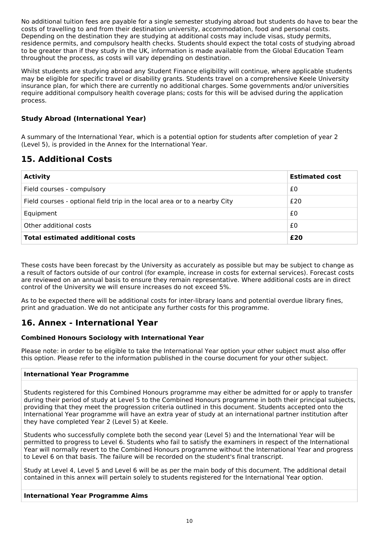No additional tuition fees are payable for a single semester studying abroad but students do have to bear the costs of travelling to and from their destination university, accommodation, food and personal costs. Depending on the destination they are studying at additional costs may include visas, study permits, residence permits, and compulsory health checks. Students should expect the total costs of studying abroad to be greater than if they study in the UK, information is made available from the Global Education Team throughout the process, as costs will vary depending on destination.

Whilst students are studying abroad any Student Finance eligibility will continue, where applicable students may be eligible for specific travel or disability grants. Students travel on a comprehensive Keele University insurance plan, for which there are currently no additional charges. Some governments and/or universities require additional compulsory health coverage plans; costs for this will be advised during the application process.

### **Study Abroad (International Year)**

A summary of the International Year, which is a potential option for students after completion of year 2 (Level 5), is provided in the Annex for the International Year.

## **15. Additional Costs**

| <b>Activity</b>                                                           | <b>Estimated cost</b> |
|---------------------------------------------------------------------------|-----------------------|
| Field courses - compulsory                                                | £0                    |
| Field courses - optional field trip in the local area or to a nearby City | £20                   |
| Equipment                                                                 | £0                    |
| Other additional costs                                                    | £0                    |
| <b>Total estimated additional costs</b>                                   | £20                   |

These costs have been forecast by the University as accurately as possible but may be subject to change as a result of factors outside of our control (for example, increase in costs for external services). Forecast costs are reviewed on an annual basis to ensure they remain representative. Where additional costs are in direct control of the University we will ensure increases do not exceed 5%.

As to be expected there will be additional costs for inter-library loans and potential overdue library fines, print and graduation. We do not anticipate any further costs for this programme.

### **16. Annex - International Year**

#### **Combined Honours Sociology with International Year**

Please note: in order to be eligible to take the International Year option your other subject must also offer this option. Please refer to the information published in the course document for your other subject.

#### **International Year Programme**

Students registered for this Combined Honours programme may either be admitted for or apply to transfer during their period of study at Level 5 to the Combined Honours programme in both their principal subjects, providing that they meet the progression criteria outlined in this document. Students accepted onto the International Year programme will have an extra year of study at an international partner institution after they have completed Year 2 (Level 5) at Keele.

Students who successfully complete both the second year (Level 5) and the International Year will be permitted to progress to Level 6. Students who fail to satisfy the examiners in respect of the International Year will normally revert to the Combined Honours programme without the International Year and progress to Level 6 on that basis. The failure will be recorded on the student's final transcript.

Study at Level 4, Level 5 and Level 6 will be as per the main body of this document. The additional detail contained in this annex will pertain solely to students registered for the International Year option.

#### **International Year Programme Aims**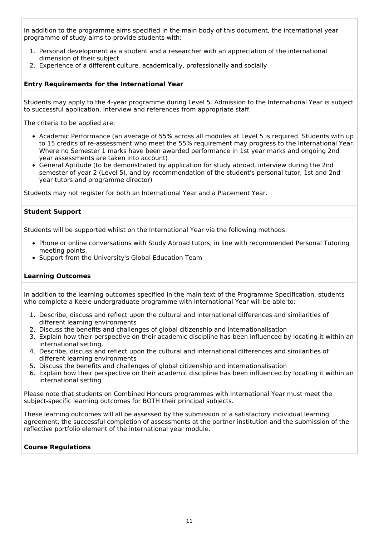In addition to the programme aims specified in the main body of this document, the international year programme of study aims to provide students with:

- 1. Personal development as a student and a researcher with an appreciation of the international dimension of their subject
- 2. Experience of a different culture, academically, professionally and socially

#### **Entry Requirements for the International Year**

Students may apply to the 4-year programme during Level 5. Admission to the International Year is subject to successful application, interview and references from appropriate staff.

The criteria to be applied are:

- Academic Performance (an average of 55% across all modules at Level 5 is required. Students with up to 15 credits of re-assessment who meet the 55% requirement may progress to the International Year. Where no Semester 1 marks have been awarded performance in 1st year marks and ongoing 2nd year assessments are taken into account)
- General Aptitude (to be demonstrated by application for study abroad, interview during the 2nd semester of year 2 (Level 5), and by recommendation of the student's personal tutor, 1st and 2nd year tutors and programme director)

Students may not register for both an International Year and a Placement Year.

#### **Student Support**

Students will be supported whilst on the International Year via the following methods:

- Phone or online conversations with Study Abroad tutors, in line with recommended Personal Tutoring meeting points.
- Support from the University's Global Education Team

#### **Learning Outcomes**

In addition to the learning outcomes specified in the main text of the Programme Specification, students who complete a Keele undergraduate programme with International Year will be able to:

- 1. Describe, discuss and reflect upon the cultural and international differences and similarities of different learning environments
- 2. Discuss the benefits and challenges of global citizenship and internationalisation
- 3. Explain how their perspective on their academic discipline has been influenced by locating it within an international setting.
- 4. Describe, discuss and reflect upon the cultural and international differences and similarities of different learning environments
- 5. Discuss the benefits and challenges of global citizenship and internationalisation
- 6. Explain how their perspective on their academic discipline has been influenced by locating it within an international setting

Please note that students on Combined Honours programmes with International Year must meet the subject-specific learning outcomes for BOTH their principal subjects.

These learning outcomes will all be assessed by the submission of a satisfactory individual learning agreement, the successful completion of assessments at the partner institution and the submission of the reflective portfolio element of the international year module.

#### **Course Regulations**